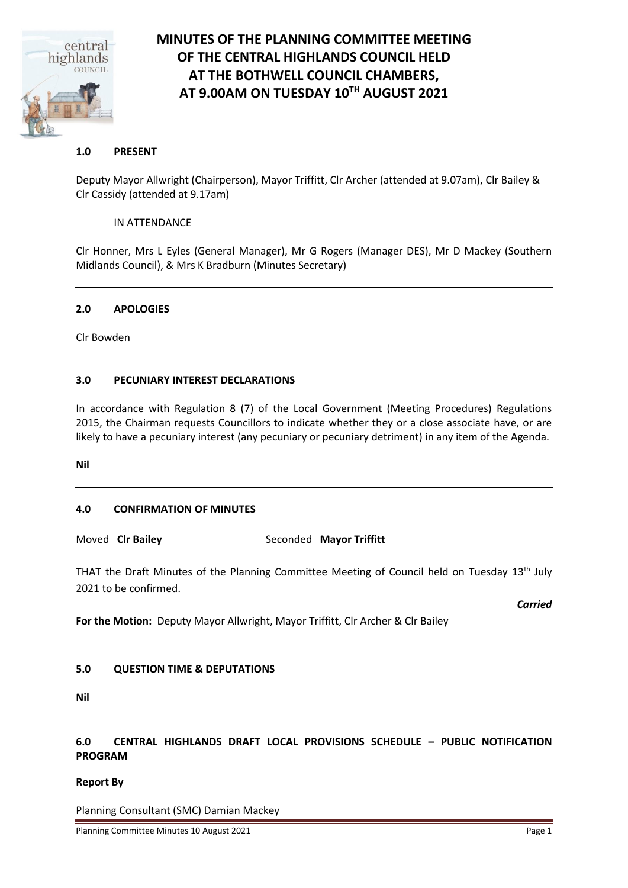

# **MINUTES OF THE PLANNING COMMITTEE MEETING OF THE CENTRAL HIGHLANDS COUNCIL HELD AT THE BOTHWELL COUNCIL CHAMBERS, AT 9.00AM ON TUESDAY 10TH AUGUST 2021**

## **1.0 PRESENT**

Deputy Mayor Allwright (Chairperson), Mayor Triffitt, Clr Archer (attended at 9.07am), Clr Bailey & Clr Cassidy (attended at 9.17am)

IN ATTENDANCE

Clr Honner, Mrs L Eyles (General Manager), Mr G Rogers (Manager DES), Mr D Mackey (Southern Midlands Council), & Mrs K Bradburn (Minutes Secretary)

# **2.0 APOLOGIES**

Clr Bowden

# **3.0 PECUNIARY INTEREST DECLARATIONS**

In accordance with Regulation 8 (7) of the Local Government (Meeting Procedures) Regulations 2015, the Chairman requests Councillors to indicate whether they or a close associate have, or are likely to have a pecuniary interest (any pecuniary or pecuniary detriment) in any item of the Agenda.

**Nil**

# **4.0 CONFIRMATION OF MINUTES**

Moved **Clr Bailey** Seconded **Mayor Triffitt**

THAT the Draft Minutes of the Planning Committee Meeting of Council held on Tuesdav 13<sup>th</sup> July 2021 to be confirmed.

*Carried*

**For the Motion:** Deputy Mayor Allwright, Mayor Triffitt, Clr Archer & Clr Bailey

# **5.0 QUESTION TIME & DEPUTATIONS**

**Nil**

**6.0 CENTRAL HIGHLANDS DRAFT LOCAL PROVISIONS SCHEDULE – PUBLIC NOTIFICATION PROGRAM**

#### **Report By**

Planning Consultant (SMC) Damian Mackey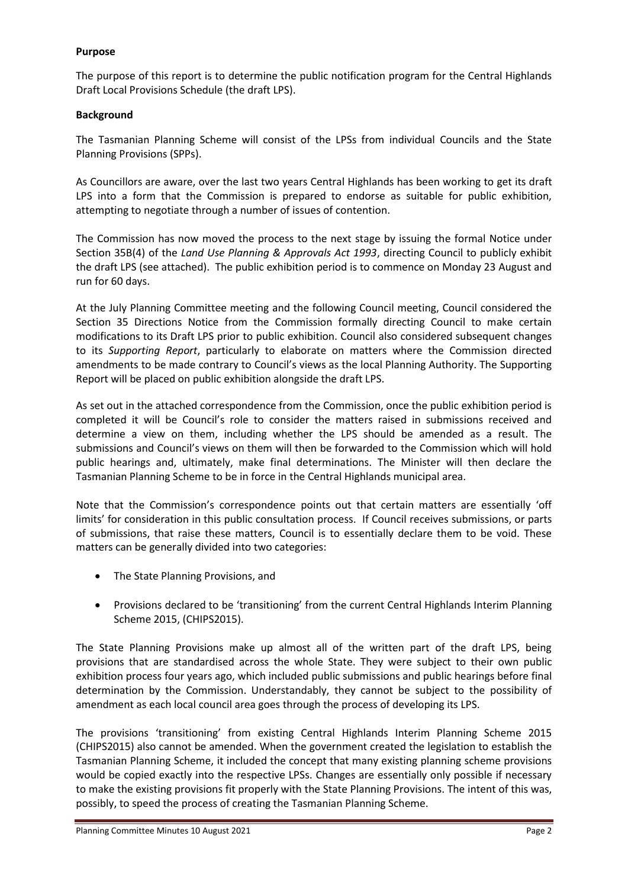## **Purpose**

The purpose of this report is to determine the public notification program for the Central Highlands Draft Local Provisions Schedule (the draft LPS).

# **Background**

The Tasmanian Planning Scheme will consist of the LPSs from individual Councils and the State Planning Provisions (SPPs).

As Councillors are aware, over the last two years Central Highlands has been working to get its draft LPS into a form that the Commission is prepared to endorse as suitable for public exhibition, attempting to negotiate through a number of issues of contention.

The Commission has now moved the process to the next stage by issuing the formal Notice under Section 35B(4) of the *Land Use Planning & Approvals Act 1993*, directing Council to publicly exhibit the draft LPS (see attached). The public exhibition period is to commence on Monday 23 August and run for 60 days.

At the July Planning Committee meeting and the following Council meeting, Council considered the Section 35 Directions Notice from the Commission formally directing Council to make certain modifications to its Draft LPS prior to public exhibition. Council also considered subsequent changes to its *Supporting Report*, particularly to elaborate on matters where the Commission directed amendments to be made contrary to Council's views as the local Planning Authority. The Supporting Report will be placed on public exhibition alongside the draft LPS.

As set out in the attached correspondence from the Commission, once the public exhibition period is completed it will be Council's role to consider the matters raised in submissions received and determine a view on them, including whether the LPS should be amended as a result. The submissions and Council's views on them will then be forwarded to the Commission which will hold public hearings and, ultimately, make final determinations. The Minister will then declare the Tasmanian Planning Scheme to be in force in the Central Highlands municipal area.

Note that the Commission's correspondence points out that certain matters are essentially 'off limits' for consideration in this public consultation process. If Council receives submissions, or parts of submissions, that raise these matters, Council is to essentially declare them to be void. These matters can be generally divided into two categories:

- The State Planning Provisions, and
- Provisions declared to be 'transitioning' from the current Central Highlands Interim Planning Scheme 2015, (CHIPS2015).

The State Planning Provisions make up almost all of the written part of the draft LPS, being provisions that are standardised across the whole State. They were subject to their own public exhibition process four years ago, which included public submissions and public hearings before final determination by the Commission. Understandably, they cannot be subject to the possibility of amendment as each local council area goes through the process of developing its LPS.

The provisions 'transitioning' from existing Central Highlands Interim Planning Scheme 2015 (CHIPS2015) also cannot be amended. When the government created the legislation to establish the Tasmanian Planning Scheme, it included the concept that many existing planning scheme provisions would be copied exactly into the respective LPSs. Changes are essentially only possible if necessary to make the existing provisions fit properly with the State Planning Provisions. The intent of this was, possibly, to speed the process of creating the Tasmanian Planning Scheme.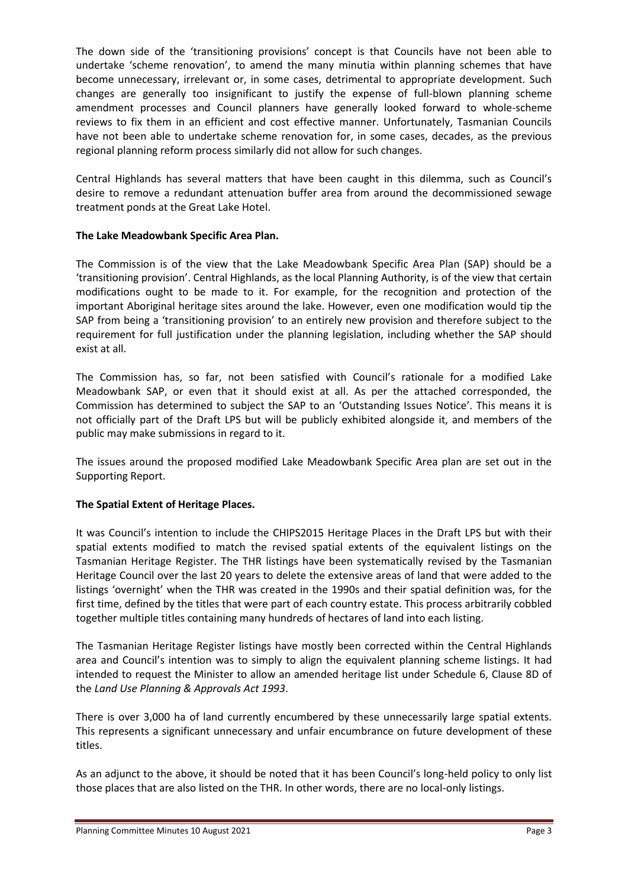The down side of the 'transitioning provisions' concept is that Councils have not been able to undertake 'scheme renovation', to amend the many minutia within planning schemes that have become unnecessary, irrelevant or, in some cases, detrimental to appropriate development. Such changes are generally too insignificant to justify the expense of full-blown planning scheme amendment processes and Council planners have generally looked forward to whole-scheme reviews to fix them in an efficient and cost effective manner. Unfortunately, Tasmanian Councils have not been able to undertake scheme renovation for, in some cases, decades, as the previous regional planning reform process similarly did not allow for such changes.

Central Highlands has several matters that have been caught in this dilemma, such as Council's desire to remove a redundant attenuation buffer area from around the decommissioned sewage treatment ponds at the Great Lake Hotel.

# **The Lake Meadowbank Specific Area Plan.**

The Commission is of the view that the Lake Meadowbank Specific Area Plan (SAP) should be a 'transitioning provision'. Central Highlands, as the local Planning Authority, is of the view that certain modifications ought to be made to it. For example, for the recognition and protection of the important Aboriginal heritage sites around the lake. However, even one modification would tip the SAP from being a 'transitioning provision' to an entirely new provision and therefore subject to the requirement for full justification under the planning legislation, including whether the SAP should exist at all.

The Commission has, so far, not been satisfied with Council's rationale for a modified Lake Meadowbank SAP, or even that it should exist at all. As per the attached corresponded, the Commission has determined to subject the SAP to an 'Outstanding Issues Notice'. This means it is not officially part of the Draft LPS but will be publicly exhibited alongside it, and members of the public may make submissions in regard to it.

The issues around the proposed modified Lake Meadowbank Specific Area plan are set out in the Supporting Report.

# **The Spatial Extent of Heritage Places.**

It was Council's intention to include the CHIPS2015 Heritage Places in the Draft LPS but with their spatial extents modified to match the revised spatial extents of the equivalent listings on the Tasmanian Heritage Register. The THR listings have been systematically revised by the Tasmanian Heritage Council over the last 20 years to delete the extensive areas of land that were added to the listings 'overnight' when the THR was created in the 1990s and their spatial definition was, for the first time, defined by the titles that were part of each country estate. This process arbitrarily cobbled together multiple titles containing many hundreds of hectares of land into each listing.

The Tasmanian Heritage Register listings have mostly been corrected within the Central Highlands area and Council's intention was to simply to align the equivalent planning scheme listings. It had intended to request the Minister to allow an amended heritage list under Schedule 6, Clause 8D of the *Land Use Planning & Approvals Act 1993*.

There is over 3,000 ha of land currently encumbered by these unnecessarily large spatial extents. This represents a significant unnecessary and unfair encumbrance on future development of these titles.

As an adjunct to the above, it should be noted that it has been Council's long-held policy to only list those places that are also listed on the THR. In other words, there are no local-only listings.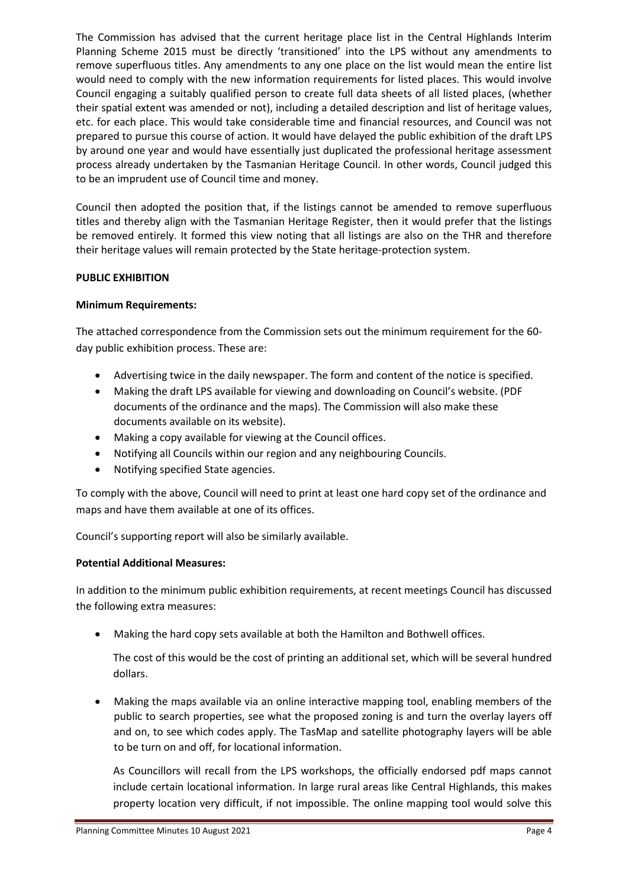The Commission has advised that the current heritage place list in the Central Highlands Interim Planning Scheme 2015 must be directly 'transitioned' into the LPS without any amendments to remove superfluous titles. Any amendments to any one place on the list would mean the entire list would need to comply with the new information requirements for listed places. This would involve Council engaging a suitably qualified person to create full data sheets of all listed places, (whether their spatial extent was amended or not), including a detailed description and list of heritage values, etc. for each place. This would take considerable time and financial resources, and Council was not prepared to pursue this course of action. It would have delayed the public exhibition of the draft LPS by around one year and would have essentially just duplicated the professional heritage assessment process already undertaken by the Tasmanian Heritage Council. In other words, Council judged this to be an imprudent use of Council time and money.

Council then adopted the position that, if the listings cannot be amended to remove superfluous titles and thereby align with the Tasmanian Heritage Register, then it would prefer that the listings be removed entirely. It formed this view noting that all listings are also on the THR and therefore their heritage values will remain protected by the State heritage-protection system.

# **PUBLIC EXHIBITION**

# **Minimum Requirements:**

The attached correspondence from the Commission sets out the minimum requirement for the 60 day public exhibition process. These are:

- Advertising twice in the daily newspaper. The form and content of the notice is specified.
- Making the draft LPS available for viewing and downloading on Council's website. (PDF documents of the ordinance and the maps). The Commission will also make these documents available on its website).
- Making a copy available for viewing at the Council offices.
- Notifying all Councils within our region and any neighbouring Councils.
- Notifying specified State agencies.

To comply with the above, Council will need to print at least one hard copy set of the ordinance and maps and have them available at one of its offices.

Council's supporting report will also be similarly available.

#### **Potential Additional Measures:**

In addition to the minimum public exhibition requirements, at recent meetings Council has discussed the following extra measures:

• Making the hard copy sets available at both the Hamilton and Bothwell offices.

The cost of this would be the cost of printing an additional set, which will be several hundred dollars.

• Making the maps available via an online interactive mapping tool, enabling members of the public to search properties, see what the proposed zoning is and turn the overlay layers off and on, to see which codes apply. The TasMap and satellite photography layers will be able to be turn on and off, for locational information.

As Councillors will recall from the LPS workshops, the officially endorsed pdf maps cannot include certain locational information. In large rural areas like Central Highlands, this makes property location very difficult, if not impossible. The online mapping tool would solve this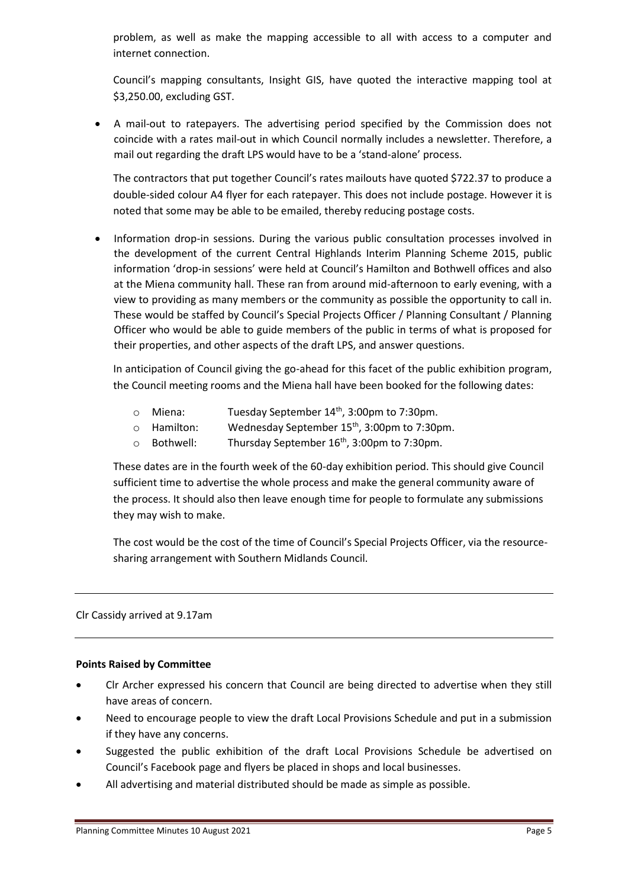problem, as well as make the mapping accessible to all with access to a computer and internet connection.

Council's mapping consultants, Insight GIS, have quoted the interactive mapping tool at \$3,250.00, excluding GST.

• A mail-out to ratepayers. The advertising period specified by the Commission does not coincide with a rates mail-out in which Council normally includes a newsletter. Therefore, a mail out regarding the draft LPS would have to be a 'stand-alone' process.

The contractors that put together Council's rates mailouts have quoted \$722.37 to produce a double-sided colour A4 flyer for each ratepayer. This does not include postage. However it is noted that some may be able to be emailed, thereby reducing postage costs.

• Information drop-in sessions. During the various public consultation processes involved in the development of the current Central Highlands Interim Planning Scheme 2015, public information 'drop-in sessions' were held at Council's Hamilton and Bothwell offices and also at the Miena community hall. These ran from around mid-afternoon to early evening, with a view to providing as many members or the community as possible the opportunity to call in. These would be staffed by Council's Special Projects Officer / Planning Consultant / Planning Officer who would be able to guide members of the public in terms of what is proposed for their properties, and other aspects of the draft LPS, and answer questions.

In anticipation of Council giving the go-ahead for this facet of the public exhibition program, the Council meeting rooms and the Miena hall have been booked for the following dates:

- $\circ$  Miena: Tuesday September 14<sup>th</sup>, 3:00pm to 7:30pm.
- $\circ$  Hamilton: Wednesday September 15<sup>th</sup>, 3:00pm to 7:30pm.
- o Bothwell: Thursday September 16<sup>th</sup>, 3:00pm to 7:30pm.

These dates are in the fourth week of the 60-day exhibition period. This should give Council sufficient time to advertise the whole process and make the general community aware of the process. It should also then leave enough time for people to formulate any submissions they may wish to make.

The cost would be the cost of the time of Council's Special Projects Officer, via the resourcesharing arrangement with Southern Midlands Council.

# Clr Cassidy arrived at 9.17am

#### **Points Raised by Committee**

- Clr Archer expressed his concern that Council are being directed to advertise when they still have areas of concern.
- Need to encourage people to view the draft Local Provisions Schedule and put in a submission if they have any concerns.
- Suggested the public exhibition of the draft Local Provisions Schedule be advertised on Council's Facebook page and flyers be placed in shops and local businesses.
- All advertising and material distributed should be made as simple as possible.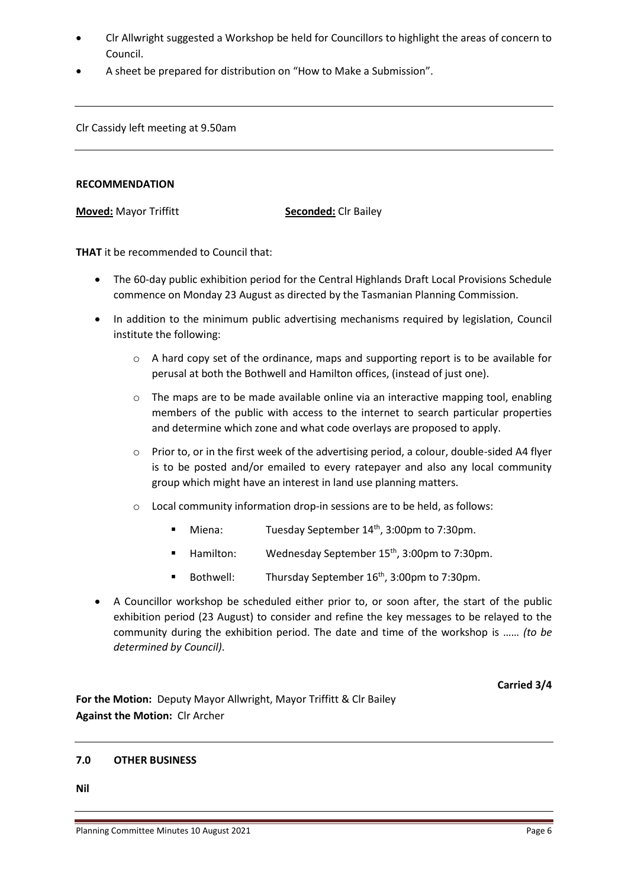- Clr Allwright suggested a Workshop be held for Councillors to highlight the areas of concern to Council.
- A sheet be prepared for distribution on "How to Make a Submission".

Clr Cassidy left meeting at 9.50am

#### **RECOMMENDATION**

**Moved:** Mayor Triffitt **Seconded:** Clr Bailey

**THAT** it be recommended to Council that:

- The 60-day public exhibition period for the Central Highlands Draft Local Provisions Schedule commence on Monday 23 August as directed by the Tasmanian Planning Commission.
- In addition to the minimum public advertising mechanisms required by legislation, Council institute the following:
	- o A hard copy set of the ordinance, maps and supporting report is to be available for perusal at both the Bothwell and Hamilton offices, (instead of just one).
	- o The maps are to be made available online via an interactive mapping tool, enabling members of the public with access to the internet to search particular properties and determine which zone and what code overlays are proposed to apply.
	- o Prior to, or in the first week of the advertising period, a colour, double-sided A4 flyer is to be posted and/or emailed to every ratepayer and also any local community group which might have an interest in land use planning matters.
	- o Local community information drop-in sessions are to be held, as follows:
		- **■** Miena: Tuesday September  $14<sup>th</sup>$ , 3:00pm to 7:30pm.
		- Hamilton: Wednesday September 15<sup>th</sup>, 3:00pm to 7:30pm.
		- Bothwell: Thursday September 16<sup>th</sup>, 3:00pm to 7:30pm.
- A Councillor workshop be scheduled either prior to, or soon after, the start of the public exhibition period (23 August) to consider and refine the key messages to be relayed to the community during the exhibition period. The date and time of the workshop is …… *(to be determined by Council)*.

**Carried 3/4**

**For the Motion:** Deputy Mayor Allwright, Mayor Triffitt & Clr Bailey **Against the Motion:** Clr Archer

#### **7.0 OTHER BUSINESS**

**Nil**